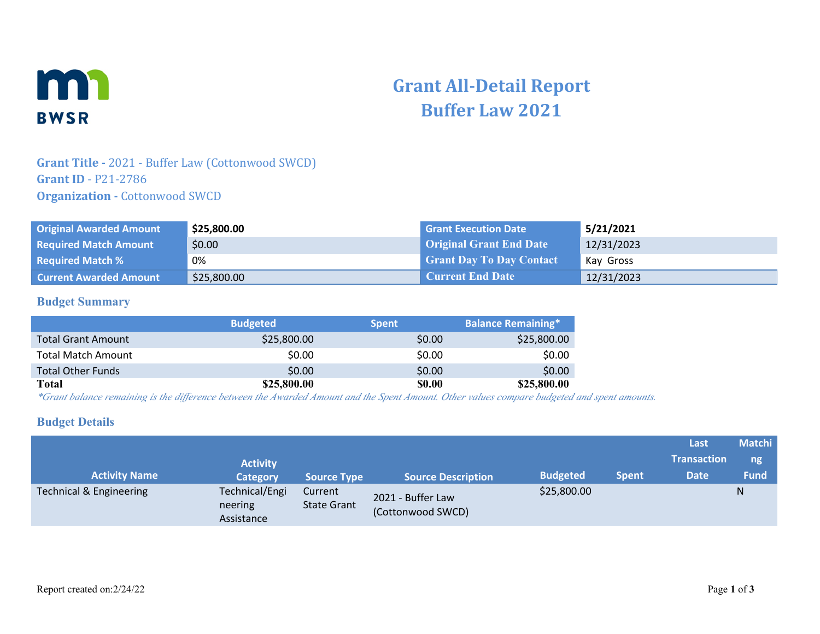

# **Grant All-Detail Report Buffer Law 2021**

### **Grant Title -** 2021 - Buffer Law (Cottonwood SWCD) **Grant ID** - P21-2786 **Organization - Cottonwood SWCD**

| <b>Original Awarded Amount</b> | \$25,800.00 | <b>Grant Execution Date</b>     | 5/21/2021  |
|--------------------------------|-------------|---------------------------------|------------|
| <b>Required Match Amount</b>   | \$0.00      | <b>Original Grant End Date</b>  | 12/31/2023 |
| <b>Required Match %</b>        | 0%          | <b>Grant Day To Day Contact</b> | Kav Gross  |
| <b>Current Awarded Amount</b>  | \$25,800.00 | Current End Date                | 12/31/2023 |

#### **Budget Summary**

|                           | <b>Budgeted</b> | <b>Spent</b>  | <b>Balance Remaining*</b> |
|---------------------------|-----------------|---------------|---------------------------|
| <b>Total Grant Amount</b> | \$25,800.00     | \$0.00        | \$25,800.00               |
| <b>Total Match Amount</b> | \$0.00          | \$0.00        | \$0.00                    |
| <b>Total Other Funds</b>  | \$0.00          | \$0.00        | \$0.00                    |
| Total                     | \$25,800.00     | <b>\$0.00</b> | \$25,800.00               |

*\*Grant balance remaining is the difference between the Awarded Amount and the Spent Amount. Other values compare budgeted and spent amounts.*

#### **Budget Details**

|                         |                                         |                               |                                        |                 |              | Last               | <b>Matchi</b> |
|-------------------------|-----------------------------------------|-------------------------------|----------------------------------------|-----------------|--------------|--------------------|---------------|
|                         | <b>Activity</b>                         |                               |                                        |                 |              | <b>Transaction</b> | ng            |
| <b>Activity Name</b>    | <b>Category</b>                         | <b>Source Type</b>            | <b>Source Description</b>              | <b>Budgeted</b> | <b>Spent</b> | <b>Date</b>        | <b>Fund</b>   |
| Technical & Engineering | Technical/Engi<br>neering<br>Assistance | Current<br><b>State Grant</b> | 2021 - Buffer Law<br>(Cottonwood SWCD) | \$25,800.00     |              |                    | N             |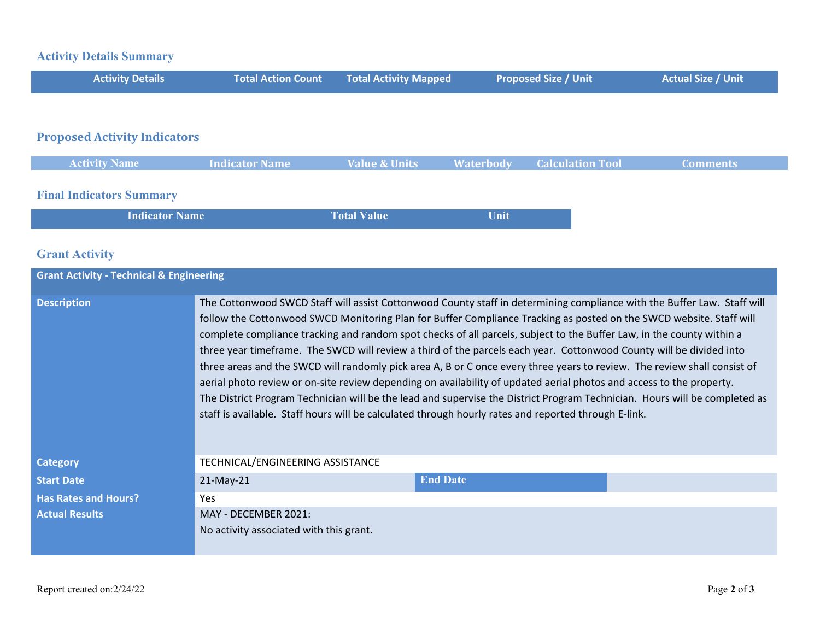## **Activity Details Summary**

| <b>Activity Details</b>             | <b>Total Action Count</b> | <b>Total Activity Mapped</b> | <b>Proposed Size / Unit</b>                 | <b>Actual Size / Unit</b> |
|-------------------------------------|---------------------------|------------------------------|---------------------------------------------|---------------------------|
|                                     |                           |                              |                                             |                           |
| <b>Proposed Activity Indicators</b> |                           |                              |                                             |                           |
| <b>Activity Name</b>                | Indicator Name            | <b>Value &amp; Units</b>     | <b>Waterbody</b><br><b>Calculation Tool</b> | <b>Comments</b>           |

## **Final Indicators Summary**

| <b>Indicator Name</b> | <b>Total Value</b> | Unit |
|-----------------------|--------------------|------|
|-----------------------|--------------------|------|

## **Grant Activity**

| <b>Grant Activity - Technical &amp; Engineering</b> |                                                                                                                                                                                                                                                                                                                                                                                                                                                                                                                                                                                                                                                                                                                                                                                                                                                                                                                                                                                          |                 |  |
|-----------------------------------------------------|------------------------------------------------------------------------------------------------------------------------------------------------------------------------------------------------------------------------------------------------------------------------------------------------------------------------------------------------------------------------------------------------------------------------------------------------------------------------------------------------------------------------------------------------------------------------------------------------------------------------------------------------------------------------------------------------------------------------------------------------------------------------------------------------------------------------------------------------------------------------------------------------------------------------------------------------------------------------------------------|-----------------|--|
| <b>Description</b>                                  | The Cottonwood SWCD Staff will assist Cottonwood County staff in determining compliance with the Buffer Law. Staff will<br>follow the Cottonwood SWCD Monitoring Plan for Buffer Compliance Tracking as posted on the SWCD website. Staff will<br>complete compliance tracking and random spot checks of all parcels, subject to the Buffer Law, in the county within a<br>three year timeframe. The SWCD will review a third of the parcels each year. Cottonwood County will be divided into<br>three areas and the SWCD will randomly pick area A, B or C once every three years to review. The review shall consist of<br>aerial photo review or on-site review depending on availability of updated aerial photos and access to the property.<br>The District Program Technician will be the lead and supervise the District Program Technician. Hours will be completed as<br>staff is available. Staff hours will be calculated through hourly rates and reported through E-link. |                 |  |
| <b>Category</b>                                     | TECHNICAL/ENGINEERING ASSISTANCE                                                                                                                                                                                                                                                                                                                                                                                                                                                                                                                                                                                                                                                                                                                                                                                                                                                                                                                                                         |                 |  |
| <b>Start Date</b>                                   | $21-May-21$                                                                                                                                                                                                                                                                                                                                                                                                                                                                                                                                                                                                                                                                                                                                                                                                                                                                                                                                                                              | <b>End Date</b> |  |
| <b>Has Rates and Hours?</b>                         | <b>Yes</b>                                                                                                                                                                                                                                                                                                                                                                                                                                                                                                                                                                                                                                                                                                                                                                                                                                                                                                                                                                               |                 |  |
| <b>Actual Results</b>                               | MAY - DECEMBER 2021:<br>No activity associated with this grant.                                                                                                                                                                                                                                                                                                                                                                                                                                                                                                                                                                                                                                                                                                                                                                                                                                                                                                                          |                 |  |